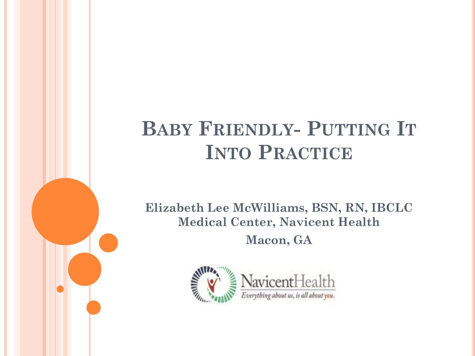# **BABY FRIENDLY- PUTTING IT INTO PRACTICE**

**Elizabeth Lee McWilliams, BSN, RN, IBCLC Medical Center, Navicent Health Macon, GA**

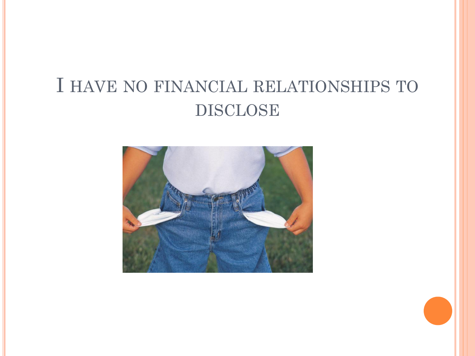## I HAVE NO FINANCIAL RELATIONSHIPS TO DISCLOSE

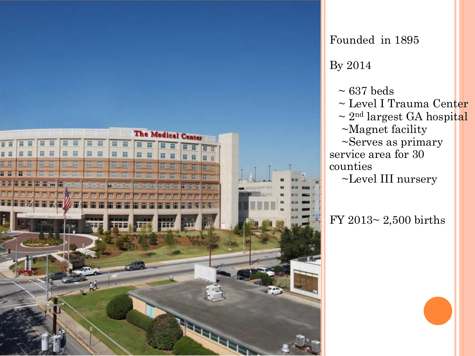

By 2014  $\sim 637$  beds ~ Level I Trauma Center  $\sim 2^{nd}$  largest GA hospital ~Magnet facility ~Serves as primary service area for 30 counties ~Level III nursery

Founded in 1895

FY 2013~ 2,500 births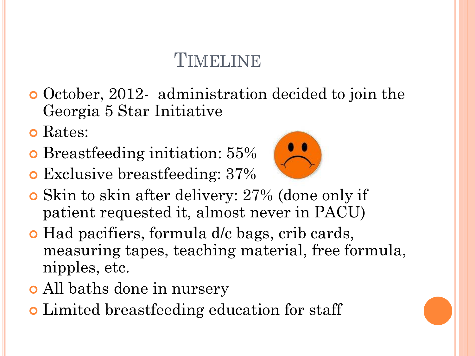## TIMELINE

- **o** October, 2012- administration decided to join the Georgia 5 Star Initiative
- **o** Rates:
- Breastfeeding initiation: 55%
- Exclusive breastfeeding: 37%



- Skin to skin after delivery: 27[% \(done on](http://www.google.com/url?url=http://www.zazzle.com/sad_smiley_face_happy_smile_expression_smilie_sticker-217876755989770830&rct=j&frm=1&q=&esrc=s&sa=U&ei=gcTSU6KYLM6xyAT_ooGwCQ&ved=0CBYQ9QEwADgU&usg=AFQjCNGb1y55T1_bPwYhm5c4AcLtkAYPQQ)ly if patient requested it, almost never in PACU)
- Had pacifiers, formula d/c bags, crib cards, measuring tapes, teaching material, free formula, nipples, etc.
- All baths done in nursery
- Limited breastfeeding education for staff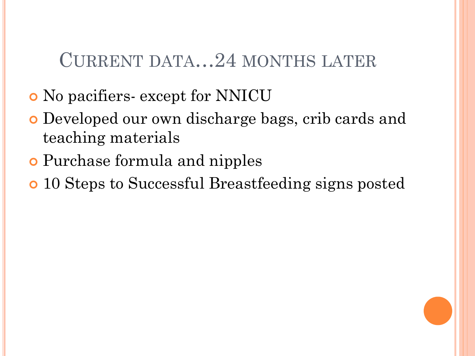#### CURRENT DATA…24 MONTHS LATER

- No pacifiers- except for NNICU
- Developed our own discharge bags, crib cards and teaching materials
- Purchase formula and nipples
- 10 Steps to Successful Breastfeeding signs posted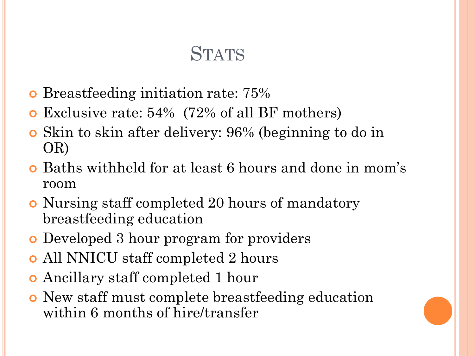## **STATS**

- **o** Breastfeeding initiation rate: 75%
- Exclusive rate: 54% (72% of all BF mothers)
- Skin to skin after delivery: 96% (beginning to do in OR)
- Baths withheld for at least 6 hours and done in mom's room
- Nursing staff completed 20 hours of mandatory breastfeeding education
- Developed 3 hour program for providers
- All NNICU staff completed 2 hours
- Ancillary staff completed 1 hour
- New staff must complete breastfeeding education within 6 months of hire/transfer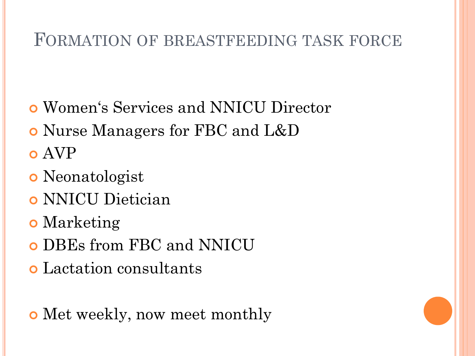#### FORMATION OF BREASTFEEDING TASK FORCE

- Women's Services and NNICU Director
- Nurse Managers for FBC and L&D
- AVP
- Neonatologist
- NNICU Dietician
- **o** Marketing
- DBEs from FBC and NNICU
- Lactation consultants

Met weekly, now meet monthly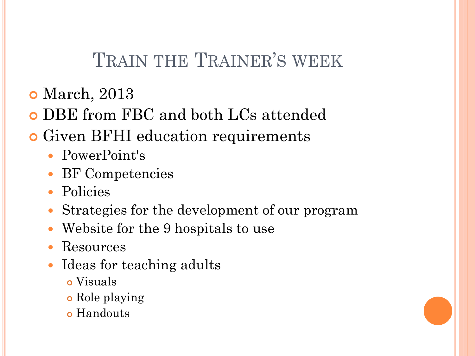## TRAIN THE TRAINER'S WEEK

- **o** March, 2013
- DBE from FBC and both LCs attended
- **o** Given BFHI education requirements
	- PowerPoint's
	- BF Competencies
	- Policies
	- Strategies for the development of our program
	- Website for the 9 hospitals to use
	- Resources
	- Ideas for teaching adults
		- Visuals
		- Role playing
		- o Handouts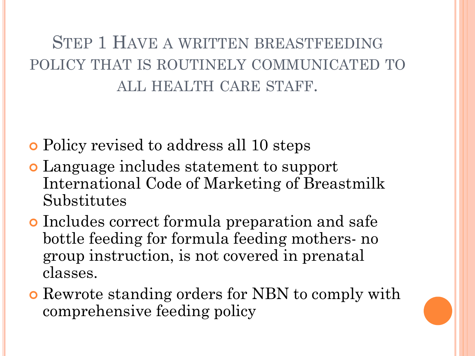#### STEP 1 HAVE A WRITTEN BREASTFEEDING POLICY THAT IS ROUTINELY COMMUNICATED TO ALL HEALTH CARE STAFF.

Policy revised to address all 10 steps

- Language includes statement to support International Code of Marketing of Breastmilk Substitutes
- Includes correct formula preparation and safe bottle feeding for formula feeding mothers- no group instruction, is not covered in prenatal classes.
- Rewrote standing orders for NBN to comply with comprehensive feeding policy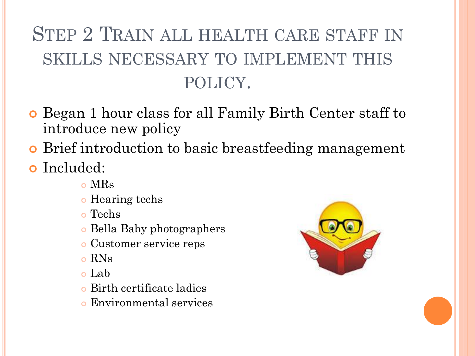# STEP 2 TRAIN ALL HEALTH CARE STAFF IN SKILLS NECESSARY TO IMPLEMENT THIS POLICY.

- **o** Began 1 hour class for all Family Birth Center staff to introduce new policy
- Brief introduction to basic breastfeeding management
- **o** Included:
	- MRs
	- **o** Hearing techs
	- Techs
	- Bella Baby photographers
	- Customer service reps
	- RNs
	- Lab
	- Birth certificate ladies
	- Environmental services

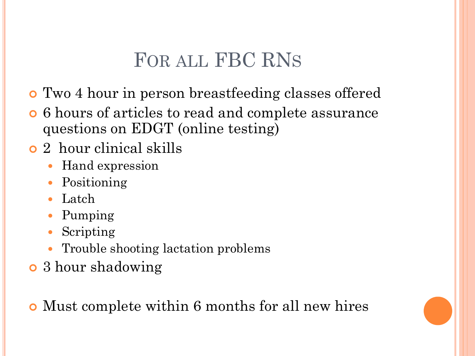## FOR ALL FBC RNS

- Two 4 hour in person breastfeeding classes offered
- 6 hours of articles to read and complete assurance questions on EDGT (online testing)
- 2 hour clinical skills
	- Hand expression
	- Positioning
	- Latch
	- Pumping
	- Scripting
	- Trouble shooting lactation problems
- 3 hour shadowing

Must complete within 6 months for all new hires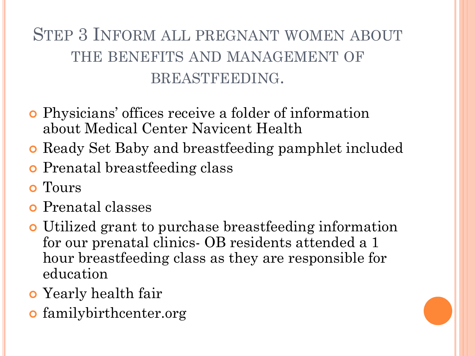## STEP 3 INFORM ALL PREGNANT WOMEN ABOUT THE BENEFITS AND MANAGEMENT OF BREASTFEEDING.

- Physicians' offices receive a folder of information about Medical Center Navicent Health
- **Ready Set Baby and breastfeeding pamphlet included**
- **o** Prenatal breastfeeding class
- o Tours
- **o** Prenatal classes
- Utilized grant to purchase breastfeeding information for our prenatal clinics- OB residents attended a 1 hour breastfeeding class as they are responsible for education
- **o** Yearly health fair
- familybirthcenter.org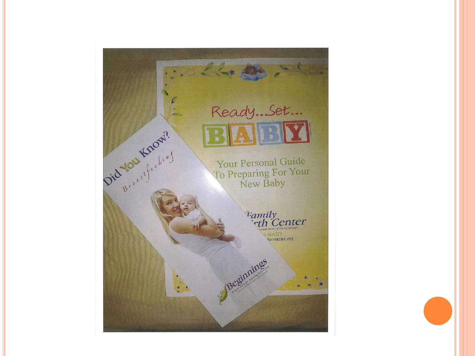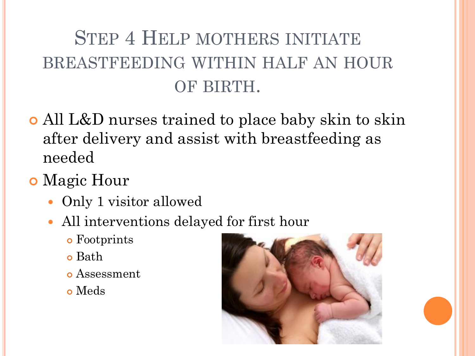# STEP 4 HELP MOTHERS INITIATE BREASTFEEDING WITHIN HALF AN HOUR OF BIRTH.

- All L&D nurses trained to place baby skin to skin after delivery and assist with breastfeeding as needed
- **o** Magic Hour
	- Only 1 visitor allowed
	- All interventions delayed for first hour
		- Footprints
		- Bath
		- Assessment
		- Meds

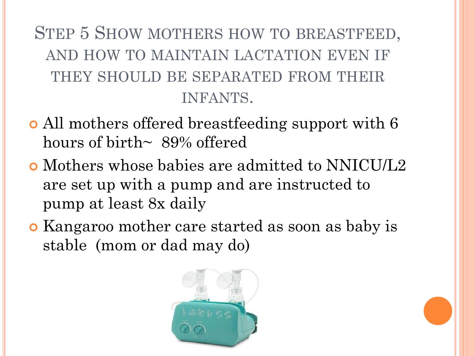STEP 5 SHOW MOTHERS HOW TO BREASTFEED, AND HOW TO MAINTAIN LACTATION EVEN IF THEY SHOULD BE SEPARATED FROM THEIR INFANTS.

- All mothers offered breastfeeding support with 6 hours of birth $\sim 89\%$  offered
- Mothers whose babies are admitted to NNICU/L2 are set up with a pump and are instructed to pump at least 8x daily
- Kangaroo mother care started as soon as baby is stable (mom or dad may do)

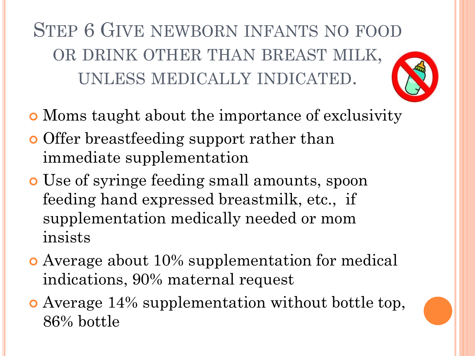STEP 6 GIVE NEWBORN INFANTS NO FOOD OR DRINK OTHER THAN BREAST MILK, UNLESS MEDICALLY INDICATED.

- Moms taught about the importance of exclusivity
- **o** Offer breastfeeding support rather than immediate supplementation
- Use of syringe feeding small amounts, spoon feeding hand expressed breastmilk, etc., if supplementation medically needed or mom insists
- Average about 10% supplementation for medical indications, 90% maternal request
- Average 14% supplementation without bottle top, 86% bottle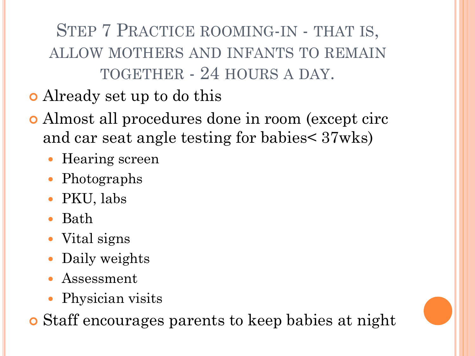STEP 7 PRACTICE ROOMING-IN - THAT IS, ALLOW MOTHERS AND INFANTS TO REMAIN TOGETHER - 24 HOURS A DAY.

- Already set up to do this
- Almost all procedures done in room (except circ and car seat angle testing for babies< 37wks)
	- Hearing screen
	- Photographs
	- PKU, labs
	- Bath
	- Vital signs
	- Daily weights
	- Assessment
	- Physician visits

Staff encourages parents to keep babies at night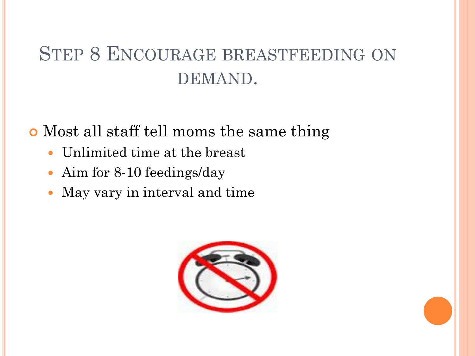## STEP 8 ENCOURAGE BREASTFEEDING ON DEMAND.

Most all staff tell moms the same thing

- Unlimited time at the breast
- Aim for 8-10 feedings/day
- May vary in interval and time

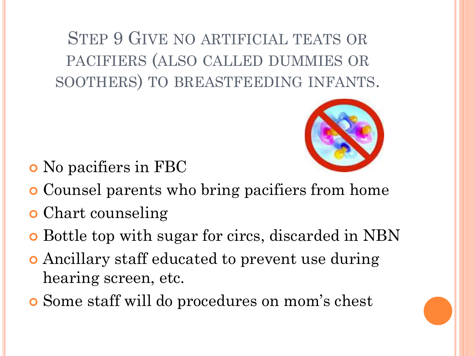STEP 9 GIVE NO ARTIFICIAL TEATS OR PACIFIERS (ALSO CALLED DUMMIES OR SOOTHERS) TO BREASTFEEDING INFANTS.



- No pacifiers in FBC
- Counsel parents who bring pacifiers from home
- Chart counseling
- Bottle top with sugar for circs, discarded in NBN
- Ancillary staff educated to prevent use during hearing screen, etc.
- Some staff will do procedures on mom's chest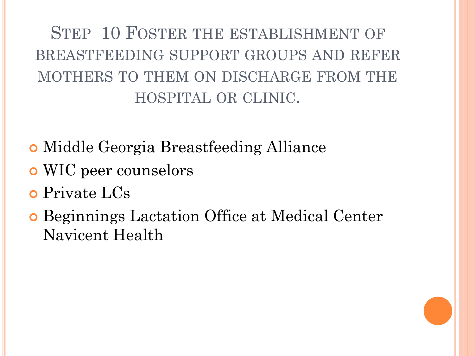STEP 10 FOSTER THE ESTABLISHMENT OF BREASTFEEDING SUPPORT GROUPS AND REFER MOTHERS TO THEM ON DISCHARGE FROM THE HOSPITAL OR CLINIC.

- Middle Georgia Breastfeeding Alliance
- WIC peer counselors
- Private LCs
- Beginnings Lactation Office at Medical Center Navicent Health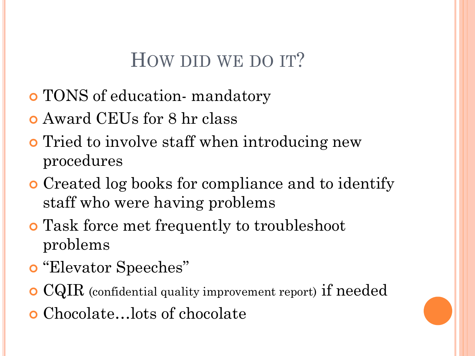## HOW DID WE DO IT?

- TONS of education- mandatory
- Award CEUs for 8 hr class
- **o** Tried to involve staff when introducing new procedures
- Created log books for compliance and to identify staff who were having problems
- Task force met frequently to troubleshoot problems
- "Elevator Speeches"
- CQIR (confidential quality improvement report) if needed
- Chocolate…lots of chocolate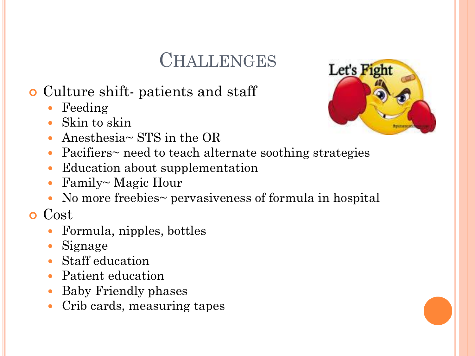## **CHALLENGES**

#### Culture shift- patients and staff

- Feeding
- Skin to skin
- Anesthesia~ STS in the OR



- Pacifiers~ need to teach alternate soothing strategies
- Education about supplementation
- Family~ Magic Hour
- No more freebies~ pervasiveness of formula in hospital

**o** Cost

- Formula, nipples, bottles
- Signage
- Staff education
- Patient education
- Baby Friendly phases
- Crib cards, measuring tapes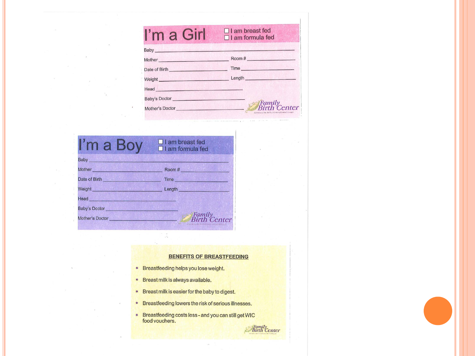| I'm a Girl                                                                                                                                                                                                                           | $\Box$ I am breast fed<br>$\Box$ I am formula fed                           |
|--------------------------------------------------------------------------------------------------------------------------------------------------------------------------------------------------------------------------------------|-----------------------------------------------------------------------------|
| <b>Baby Example 2008</b>                                                                                                                                                                                                             |                                                                             |
|                                                                                                                                                                                                                                      | Mother Room #                                                               |
|                                                                                                                                                                                                                                      | Date of Birth Time Time                                                     |
| Weight                                                                                                                                                                                                                               |                                                                             |
| Head Head and the contract of the contract of the contract of the contract of the contract of the contract of the contract of the contract of the contract of the contract of the contract of the contract of the contract of        |                                                                             |
| Baby's Doctor <b>Exercise Service Service Service Service Service Service Service Service Service Service Service Service Service Service Service Service Service Service Service Service Service Service Service Service Servic</b> |                                                                             |
| Mother's Doctor Nother's Doctor                                                                                                                                                                                                      | Family<br>Pirth Center<br>A Service of The Medical Centured Central Georgia |

| I'm a Boy                   | $\Box$ I am breast fed<br>$\Box$ I am formula fed                         |
|-----------------------------|---------------------------------------------------------------------------|
| <b>Baby Baby</b>            |                                                                           |
| Mother <b>Mother Mother</b> | Room #                                                                    |
| Date of Birth               | Time                                                                      |
| Weight                      | Length <b>Exercise Service Service</b>                                    |
| <b>Head Head</b>            |                                                                           |
| <b>Baby's Doctor</b>        |                                                                           |
| Mother's Doctor             | Family<br>Birth Center<br>A Settlinor The Madyol Children Control Guerrey |

#### **BENEFITS OF BREASTFEEDING**

- Breastfeeding helps you lose weight.
- Breast milk is always available.
- Breast milk is easier for the baby to digest.
- Breastfeeding lowers the risk of serious illnesses.
- Breastfeeding costs less and you can still get WIC<br>food vouchers. **Family**<br>Birth Center